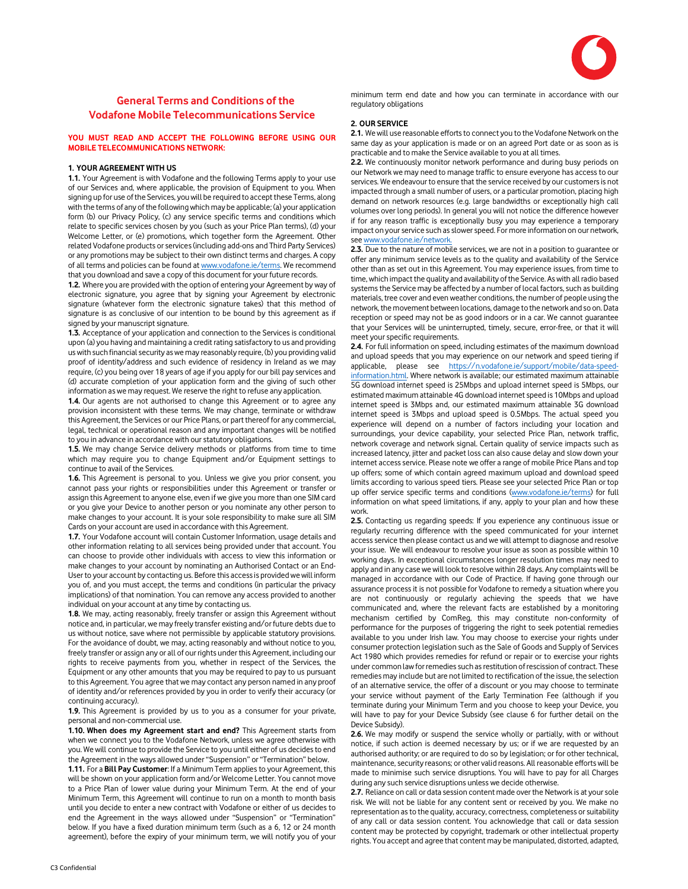

# General Terms and Conditions of the Vodafone Mobile Telecommunications Service

# YOU MUST READ AND ACCEPT THE FOLLOWING BEFORE USING OUR MOBILE TELECOMMUNICATIONS NETWORK:

#### 1. YOUR AGREEMENT WITH US

1.1. Your Agreement is with Vodafone and the following Terms apply to your use of our Services and, where applicable, the provision of Equipment to you. When signing up for use of the Services, you will be required to accept these Terms, along with the terms of any of the following which may be applicable; (a) your application form (b) our Privacy Policy, (c) any service specific terms and conditions which relate to specific services chosen by you (such as your Price Plan terms), (d) your Welcome Letter, or (e) promotions, which together form the Agreement. Other related Vodafone products or services (including add-ons and Third Party Services) or any promotions may be subject to their own distinct terms and charges. A copy of all terms and policies can be found at www.vodafone.ie/terms. We recommend that you download and save a copy of this document for your future records.

1.2. Where you are provided with the option of entering your Agreement by way of electronic signature, you agree that by signing your Agreement by electronic signature (whatever form the electronic signature takes) that this method of signature is as conclusive of our intention to be bound by this agreement as if signed by your manuscript signature.

1.3. Acceptance of your application and connection to the Services is conditional upon (a) you having and maintaining a credit rating satisfactory to us and providing us with such financial security as we may reasonably require, (b) you providing valid proof of identity/address and such evidence of residency in Ireland as we may require, (c) you being over 18 years of age if you apply for our bill pay services and (d) accurate completion of your application form and the giving of such other information as we may request. We reserve the right to refuse any application.

1.4. Our agents are not authorised to change this Agreement or to agree any provision inconsistent with these terms. We may change, terminate or withdraw this Agreement, the Services or our Price Plans, or part thereof for any commercial, legal, technical or operational reason and any important changes will be notified to you in advance in accordance with our statutory obligations.

1.5. We may change Service delivery methods or platforms from time to time which may require you to change Equipment and/or Equipment settings to continue to avail of the Services.

1.6. This Agreement is personal to you. Unless we give you prior consent, you cannot pass your rights or responsibilities under this Agreement or transfer or assign this Agreement to anyone else, even if we give you more than one SIM card or you give your Device to another person or you nominate any other person to make changes to your account. It is your sole responsibility to make sure all SIM Cards on your account are used in accordance with this Agreement.

1.7. Your Vodafone account will contain Customer Information, usage details and other information relating to all services being provided under that account. You can choose to provide other individuals with access to view this information or make changes to your account by nominating an Authorised Contact or an End-User to your account by contacting us. Before this access is provided we will inform you of, and you must accept, the terms and conditions (in particular the privacy implications) of that nomination. You can remove any access provided to another individual on your account at any time by contacting us.

1.8. We may, acting reasonably, freely transfer or assign this Agreement without notice and, in particular, we may freely transfer existing and/or future debts due to us without notice, save where not permissible by applicable statutory provisions. For the avoidance of doubt, we may, acting reasonably and without notice to you, freely transfer or assign any or all of our rights under this Agreement, including our rights to receive payments from you, whether in respect of the Services, the Equipment or any other amounts that you may be required to pay to us pursuant to this Agreement. You agree that we may contact any person named in any proof of identity and/or references provided by you in order to verify their accuracy (or continuing accuracy).

1.9. This Agreement is provided by us to you as a consumer for your private, personal and non-commercial use.

1.10. When does my Agreement start and end? This Agreement starts from when we connect you to the Vodafone Network, unless we agree otherwise with you. We will continue to provide the Service to you until either of us decides to end the Agreement in the ways allowed under "Suspension" or "Termination" below.

1.11. For a Bill Pay Customer: If a Minimum Term applies to your Agreement, this will be shown on your application form and/or Welcome Letter. You cannot move to a Price Plan of lower value during your Minimum Term. At the end of your Minimum Term, this Agreement will continue to run on a month to month basis until you decide to enter a new contract with Vodafone or either of us decides to end the Agreement in the ways allowed under "Suspension" or "Termination" below. If you have a fixed duration minimum term (such as a 6, 12 or 24 month agreement), before the expiry of your minimum term, we will notify you of your

minimum term end date and how you can terminate in accordance with our regulatory obligations

# 2. OUR SERVICE

2.1. We will use reasonable efforts to connect you to the Vodafone Network on the same day as your application is made or on an agreed Port date or as soon as is practicable and to make the Service available to you at all times.

2.2. We continuously monitor network performance and during busy periods on our Network we may need to manage traffic to ensure everyone has access to our services. We endeavour to ensure that the service received by our customers is not impacted through a small number of users, or a particular promotion, placing high demand on network resources (e.g. large bandwidths or exceptionally high call volumes over long periods). In general you will not notice the difference however if for any reason traffic is exceptionally busy you may experience a temporary impact on your service such as slower speed. For more information on our network, see www.vodafone.ie/network.

2.3. Due to the nature of mobile services, we are not in a position to guarantee or offer any minimum service levels as to the quality and availability of the Service other than as set out in this Agreement. You may experience issues, from time to time, which impact the quality and availability of the Service. As with all radio based systems the Service may be affected by a number of local factors, such as building materials, tree cover and even weather conditions, the number of people using the network, the movement between locations, damage to the network and so on. Data reception or speed may not be as good indoors or in a car. We cannot guarantee that your Services will be uninterrupted, timely, secure, error-free, or that it will meet your specific requirements.

2.4. For full information on speed, including estimates of the maximum download and upload speeds that you may experience on our network and speed tiering if applicable, please see https://n.vodafone.ie/support/mobile/data-speedinformation.html. Where network is available; our estimated maximum attainable 5G download internet speed is 25Mbps and upload internet speed is 5Mbps, our estimated maximum attainable 4G download internet speed is 10Mbps and upload internet speed is 3Mbps and, our estimated maximum attainable 3G download internet speed is 3Mbps and upload speed is 0.5Mbps. The actual speed you experience will depend on a number of factors including your location and surroundings, your device capability, your selected Price Plan, network traffic, network coverage and network signal. Certain quality of service impacts such as increased latency, jitter and packet loss can also cause delay and slow down your internet access service. Please note we offer a range of mobile Price Plans and top up offers; some of which contain agreed maximum upload and download speed limits according to various speed tiers. Please see your selected Price Plan or top up offer service specific terms and conditions (www.vodafone.ie/terms) for full information on what speed limitations, if any, apply to your plan and how these work.

2.5. Contacting us regarding speeds: If you experience any continuous issue or regularly recurring difference with the speed communicated for your internet access service then please contact us and we will attempt to diagnose and resolve your issue. We will endeavour to resolve your issue as soon as possible within 10 working days. In exceptional circumstances longer resolution times may need to apply and in any case we will look to resolve within 28 days. Any complaints will be managed in accordance with our Code of Practice. If having gone through our assurance process it is not possible for Vodafone to remedy a situation where you are not continuously or regularly achieving the speeds that we have communicated and, where the relevant facts are established by a monitoring mechanism certified by ComReg, this may constitute non-conformity of performance for the purposes of triggering the right to seek potential remedies available to you under Irish law. You may choose to exercise your rights under consumer protection legislation such as the Sale of Goods and Supply of Services Act 1980 which provides remedies for refund or repair or to exercise your rights under common law for remedies such as restitution of rescission of contract. These remedies may include but are not limited to rectification of the issue, the selection of an alternative service, the offer of a discount or you may choose to terminate your service without payment of the Early Termination Fee (although if you terminate during your Minimum Term and you choose to keep your Device, you will have to pay for your Device Subsidy (see clause 6 for further detail on the Device Subsidy).

2.6. We may modify or suspend the service wholly or partially, with or without notice, if such action is deemed necessary by us; or if we are requested by an authorised authority; or are required to do so by legislation; or for other technical, maintenance, security reasons; or other valid reasons. All reasonable efforts will be made to minimise such service disruptions. You will have to pay for all Charges during any such service disruptions unless we decide otherwise.

2.7. Reliance on call or data session content made over the Network is at your sole risk. We will not be liable for any content sent or received by you. We make no representation as to the quality, accuracy, correctness, completeness or suitability of any call or data session content. You acknowledge that call or data session content may be protected by copyright, trademark or other intellectual property rights. You accept and agree that content may be manipulated, distorted, adapted,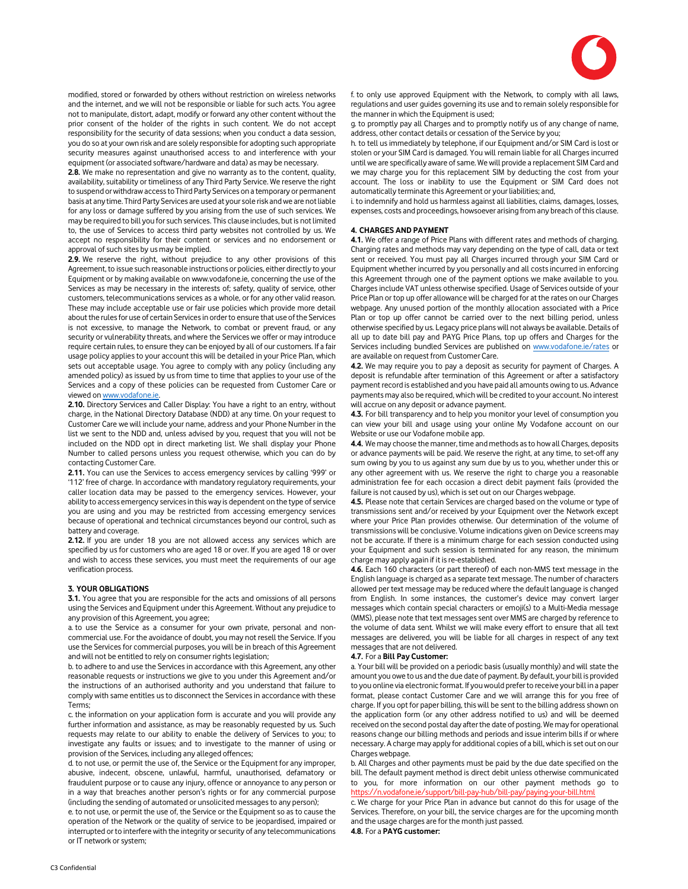

modified, stored or forwarded by others without restriction on wireless networks and the internet, and we will not be responsible or liable for such acts. You agree not to manipulate, distort, adapt, modify or forward any other content without the prior consent of the holder of the rights in such content. We do not accept responsibility for the security of data sessions; when you conduct a data session, you do so at your own risk and are solely responsible for adopting such appropriate security measures against unauthorised access to and interference with your equipment (or associated software/hardware and data) as may be necessary.

2.8. We make no representation and give no warranty as to the content, quality, availability, suitability or timeliness of any Third Party Service. We reserve the right to suspend or withdraw access to Third Party Services on a temporary or permanent basis at any time. Third Party Services are used at your sole risk and we are not liable for any loss or damage suffered by you arising from the use of such services. We may be required to bill you for such services. This clause includes, but is not limited to, the use of Services to access third party websites not controlled by us. We accept no responsibility for their content or services and no endorsement or approval of such sites by us may be implied.

2.9. We reserve the right, without prejudice to any other provisions of this Agreement, to issue such reasonable instructions or policies, either directly to your Equipment or by making available on www.vodafone.ie, concerning the use of the Services as may be necessary in the interests of; safety, quality of service, other customers, telecommunications services as a whole, or for any other valid reason. These may include acceptable use or fair use policies which provide more detail about the rules for use of certain Services in order to ensure that use of the Services is not excessive, to manage the Network, to combat or prevent fraud, or any security or vulnerability threats, and where the Services we offer or may introduce require certain rules, to ensure they can be enjoyed by all of our customers. If a fair usage policy applies to your account this will be detailed in your Price Plan, which sets out acceptable usage. You agree to comply with any policy (including any amended policy) as issued by us from time to time that applies to your use of the Services and a copy of these policies can be requested from Customer Care or viewed on www.vodafone.ie.

2.10. Directory Services and Caller Display: You have a right to an entry, without charge, in the National Directory Database (NDD) at any time. On your request to Customer Care we will include your name, address and your Phone Number in the list we sent to the NDD and, unless advised by you, request that you will not be included on the NDD opt in direct marketing list. We shall display your Phone Number to called persons unless you request otherwise, which you can do by contacting Customer Care.

2.11. You can use the Services to access emergency services by calling '999' or '112' free of charge. In accordance with mandatory regulatory requirements, your caller location data may be passed to the emergency services. However, your ability to access emergency services in this way is dependent on the type of service you are using and you may be restricted from accessing emergency services because of operational and technical circumstances beyond our control, such as battery and coverage.

2.12. If you are under 18 you are not allowed access any services which are specified by us for customers who are aged 18 or over. If you are aged 18 or over and wish to access these services, you must meet the requirements of our age verification process.

## 3. YOUR OBLIGATIONS

3.1. You agree that you are responsible for the acts and omissions of all persons using the Services and Equipment under this Agreement. Without any prejudice to any provision of this Agreement, you agree;

a. to use the Service as a consumer for your own private, personal and noncommercial use. For the avoidance of doubt, you may not resell the Service. If you use the Services for commercial purposes, you will be in breach of this Agreement and will not be entitled to rely on consumer rights legislation;

b. to adhere to and use the Services in accordance with this Agreement, any other reasonable requests or instructions we give to you under this Agreement and/or the instructions of an authorised authority and you understand that failure to comply with same entitles us to disconnect the Services in accordance with these Terms;

c. the information on your application form is accurate and you will provide any further information and assistance, as may be reasonably requested by us. Such requests may relate to our ability to enable the delivery of Services to you; to investigate any faults or issues; and to investigate to the manner of using or provision of the Services, including any alleged offences;

d. to not use, or permit the use of, the Service or the Equipment for any improper, abusive, indecent, obscene, unlawful, harmful, unauthorised, defamatory or fraudulent purpose or to cause any injury, offence or annoyance to any person or in a way that breaches another person's rights or for any commercial purpose (including the sending of automated or unsolicited messages to any person);

e. to not use, or permit the use of, the Service or the Equipment so as to cause the operation of the Network or the quality of service to be jeopardised, impaired or interrupted or to interfere with the integrity or security of any telecommunications or IT network or system;

f. to only use approved Equipment with the Network, to comply with all laws, regulations and user guides governing its use and to remain solely responsible for the manner in which the Equipment is used;

g. to promptly pay all Charges and to promptly notify us of any change of name, address, other contact details or cessation of the Service by you;

h. to tell us immediately by telephone, if our Equipment and/or SIM Card is lost or stolen or your SIM Card is damaged. You will remain liable for all Charges incurred until we are specifically aware of same. We will provide a replacement SIM Card and we may charge you for this replacement SIM by deducting the cost from your account. The loss or inability to use the Equipment or SIM Card does not automatically terminate this Agreement or your liabilities; and,

i. to indemnify and hold us harmless against all liabilities, claims, damages, losses, expenses, costs and proceedings, howsoever arising from any breach of this clause.

#### 4. CHARGES AND PAYMENT

4.1. We offer a range of Price Plans with different rates and methods of charging. Charging rates and methods may vary depending on the type of call, data or text sent or received. You must pay all Charges incurred through your SIM Card or Equipment whether incurred by you personally and all costs incurred in enforcing this Agreement through one of the payment options we make available to you. Charges include VAT unless otherwise specified. Usage of Services outside of your Price Plan or top up offer allowance will be charged for at the rates on our Charges webpage. Any unused portion of the monthly allocation associated with a Price Plan or top up offer cannot be carried over to the next billing period, unless otherwise specified by us. Legacy price plans will not always be available. Details of all up to date bill pay and PAYG Price Plans, top up offers and Charges for the Services including bundled Services are published on www.vodafone.ie/rates or are available on request from Customer Care.

4.2. We may require you to pay a deposit as security for payment of Charges. A deposit is refundable after termination of this Agreement or after a satisfactory payment record is established and you have paid all amounts owing to us. Advance payments may also be required, which will be credited to your account. No interest will accrue on any deposit or advance payment.

4.3. For bill transparency and to help you monitor your level of consumption you can view your bill and usage using your online My Vodafone account on our Website or use our Vodafone mobile app.

4.4. We may choose the manner, time and methods as to how all Charges, deposits or advance payments will be paid. We reserve the right, at any time, to set-off any sum owing by you to us against any sum due by us to you, whether under this or any other agreement with us. We reserve the right to charge you a reasonable administration fee for each occasion a direct debit payment fails (provided the failure is not caused by us), which is set out on our Charges webpage.

4.5. Please note that certain Services are charged based on the volume or type of transmissions sent and/or received by your Equipment over the Network except where your Price Plan provides otherwise. Our determination of the volume of transmissions will be conclusive. Volume indications given on Device screens may not be accurate. If there is a minimum charge for each session conducted using your Equipment and such session is terminated for any reason, the minimum charge may apply again if it is re-established.

4.6. Each 160 characters (or part thereof) of each non-MMS text message in the English language is charged as a separate text message. The number of characters allowed per text message may be reduced where the default language is changed from English. In some instances, the customer's device may convert larger messages which contain special characters or emoji(s) to a Multi-Media message (MMS), please note that text messages sent over MMS are charged by reference to the volume of data sent. Whilst we will make every effort to ensure that all text messages are delivered, you will be liable for all charges in respect of any text messages that are not delivered.

#### 4.7. For a Bill Pay Customer:

a. Your bill will be provided on a periodic basis (usually monthly) and will state the amount you owe to us and the due date of payment. By default, your bill is provided to you online via electronic format. If you would prefer to receive your bill in a paper format, please contact Customer Care and we will arrange this for you free of charge. If you opt for paper billing, this will be sent to the billing address shown on the application form (or any other address notified to us) and will be deemed received on the second postal day after the date of posting. We may for operational reasons change our billing methods and periods and issue interim bills if or where necessary. A charge may apply for additional copies of a bill, which is set out on our Charges webpage.

b. All Charges and other payments must be paid by the due date specified on the bill. The default payment method is direct debit unless otherwise communicated to you, for more information on our other payment methods go to https://n.vodafone.ie/support/bill-pay-hub/bill-pay/paying-your-bill.html

c. We charge for your Price Plan in advance but cannot do this for usage of the Services. Therefore, on your bill, the service charges are for the upcoming month and the usage charges are for the month just passed.

4.8. For a PAYG customer: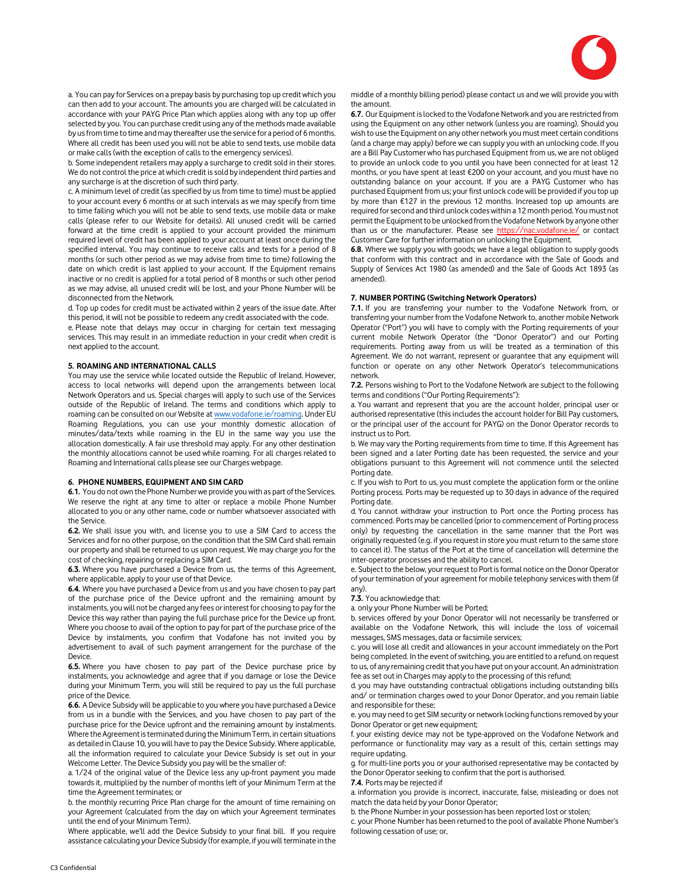

a. You can pay for Services on a prepay basis by purchasing top up credit which you can then add to your account. The amounts you are charged will be calculated in accordance with your PAYG Price Plan which applies along with any top up offer selected by you. You can purchase credit using any of the methods made available by us from time to time and may thereafter use the service for a period of 6 months. Where all credit has been used you will not be able to send texts, use mobile data or make calls (with the exception of calls to the emergency services).

b. Some independent retailers may apply a surcharge to credit sold in their stores. We do not control the price at which credit is sold by independent third parties and any surcharge is at the discretion of such third party.

c. A minimum level of credit (as specified by us from time to time) must be applied to your account every 6 months or at such intervals as we may specify from time to time failing which you will not be able to send texts, use mobile data or make calls (please refer to our Website for details). All unused credit will be carried forward at the time credit is applied to your account provided the minimum required level of credit has been applied to your account at least once during the specified interval. You may continue to receive calls and texts for a period of 8 months (or such other period as we may advise from time to time) following the date on which credit is last applied to your account. If the Equipment remains inactive or no credit is applied for a total period of 8 months or such other period as we may advise, all unused credit will be lost, and your Phone Number will be disconnected from the Network.

d. Top up codes for credit must be activated within 2 years of the issue date. After this period, it will not be possible to redeem any credit associated with the code.

e. Please note that delays may occur in charging for certain text messaging services. This may result in an immediate reduction in your credit when credit is next applied to the account.

# 5. ROAMING AND INTERNATIONAL CALLS

You may use the service while located outside the Republic of Ireland. However, access to local networks will depend upon the arrangements between local Network Operators and us. Special charges will apply to such use of the Services outside of the Republic of Ireland. The terms and conditions which apply to roaming can be consulted on our Website at www.vodafone.ie/roaming. Under EU Roaming Regulations, you can use your monthly domestic allocation of minutes/data/texts while roaming in the EU in the same way you use the allocation domestically. A fair use threshold may apply. For any other destination the monthly allocations cannot be used while roaming. For all charges related to Roaming and International calls please see our Charges webpage.

#### 6. PHONE NUMBERS, EQUIPMENT AND SIM CARD

6.1. You do not own the Phone Number we provide you with as part of the Services. We reserve the right at any time to alter or replace a mobile Phone Number allocated to you or any other name, code or number whatsoever associated with the Service.

6.2. We shall issue you with, and license you to use a SIM Card to access the Services and for no other purpose, on the condition that the SIM Card shall remain our property and shall be returned to us upon request. We may charge you for the cost of checking, repairing or replacing a SIM Card.

6.3. Where you have purchased a Device from us, the terms of this Agreement, where applicable, apply to your use of that Device.

6.4. Where you have purchased a Device from us and you have chosen to pay part of the purchase price of the Device upfront and the remaining amount by instalments, you will not be charged any fees or interest for choosing to pay for the Device this way rather than paying the full purchase price for the Device up front. Where you choose to avail of the option to pay for part of the purchase price of the Device by instalments, you confirm that Vodafone has not invited you by advertisement to avail of such payment arrangement for the purchase of the Device.

6.5. Where you have chosen to pay part of the Device purchase price by instalments, you acknowledge and agree that if you damage or lose the Device during your Minimum Term, you will still be required to pay us the full purchase price of the Device.

6.6. A Device Subsidy will be applicable to you where you have purchased a Device from us in a bundle with the Services, and you have chosen to pay part of the purchase price for the Device upfront and the remaining amount by instalments. Where the Agreement is terminated during the Minimum Term, in certain situations as detailed in Clause 10, you will have to pay the Device Subsidy. Where applicable, all the information required to calculate your Device Subsidy is set out in your Welcome Letter. The Device Subsidy you pay will be the smaller of:

a. 1/24 of the original value of the Device less any up-front payment you made towards it, multiplied by the number of months left of your Minimum Term at the time the Agreement terminates; or

b. the monthly recurring Price Plan charge for the amount of time remaining on your Agreement (calculated from the day on which your Agreement terminates until the end of your Minimum Term).

Where applicable, we'll add the Device Subsidy to your final bill. If you require assistance calculating your Device Subsidy (for example, if you will terminate in the

middle of a monthly billing period) please contact us and we will provide you with the amount.

6.7. Our Equipment is locked to the Vodafone Network and you are restricted from using the Equipment on any other network (unless you are roaming). Should you wish to use the Equipment on any other network you must meet certain conditions (and a charge may apply) before we can supply you with an unlocking code. If you are a Bill Pay Customer who has purchased Equipment from us, we are not obliged to provide an unlock code to you until you have been connected for at least 12 months, or you have spent at least €200 on your account, and you must have no outstanding balance on your account. If you are a PAYG Customer who has purchased Equipment from us; your first unlock code will be provided if you top up by more than €127 in the previous 12 months. Increased top up amounts are required for second and third unlock codes within a 12 month period. You must not permit the Equipment to be unlocked from the Vodafone Network by anyone other than us or the manufacturer. Please see https://nac.vodafone.ie/ or contact Customer Care for further information on unlocking the Equipment.

6.8. Where we supply you with goods; we have a legal obligation to supply goods that conform with this contract and in accordance with the Sale of Goods and Supply of Services Act 1980 (as amended) and the Sale of Goods Act 1893 (as amended).

#### 7. NUMBER PORTING (Switching Network Operators)

7.1. If you are transferring your number to the Vodafone Network from, or transferring your number from the Vodafone Network to, another mobile Network Operator ("Port") you will have to comply with the Porting requirements of your current mobile Network Operator (the "Donor Operator") and our Porting requirements. Porting away from us will be treated as a termination of this Agreement. We do not warrant, represent or guarantee that any equipment will function or operate on any other Network Operator's telecommunications network.

7.2. Persons wishing to Port to the Vodafone Network are subject to the following terms and conditions ("Our Porting Requirements"):

a. You warrant and represent that you are the account holder, principal user or authorised representative (this includes the account holder for Bill Pay customers, or the principal user of the account for PAYG) on the Donor Operator records to instruct us to Port.

b. We may vary the Porting requirements from time to time. If this Agreement has been signed and a later Porting date has been requested, the service and your obligations pursuant to this Agreement will not commence until the selected Porting date.

c. If you wish to Port to us, you must complete the application form or the online Porting process. Ports may be requested up to 30 days in advance of the required Porting date.

d. You cannot withdraw your instruction to Port once the Porting process has commenced. Ports may be cancelled (prior to commencement of Porting process only) by requesting the cancellation in the same manner that the Port was originally requested (e.g. if you request in store you must return to the same store to cancel it). The status of the Port at the time of cancellation will determine the inter-operator processes and the ability to cancel.

e. Subject to the below, your request to Port is formal notice on the Donor Operator of your termination of your agreement for mobile telephony services with them (if any).

## 7.3. You acknowledge that:

a. only your Phone Number will be Ported;

b. services offered by your Donor Operator will not necessarily be transferred or available on the Vodafone Network, this will include the loss of voicemail messages, SMS messages, data or facsimile services;

c. you will lose all credit and allowances in your account immediately on the Port being completed. In the event of switching, you are entitled to a refund, on request to us, of any remaining credit that you have put on your account. An administration fee as set out in Charges may apply to the processing of this refund;

d. you may have outstanding contractual obligations including outstanding bills and/ or termination charges owed to your Donor Operator, and you remain liable and responsible for these;

e. you may need to get SIM security or network locking functions removed by your Donor Operator or get new equipment;

f. your existing device may not be type-approved on the Vodafone Network and performance or functionality may vary as a result of this, certain settings may require updating.

g. for multi-line ports you or your authorised representative may be contacted by the Donor Operator seeking to confirm that the port is authorised.

7.4. Ports may be rejected if

a. information you provide is incorrect, inaccurate, false, misleading or does not match the data held by your Donor Operator;

b. the Phone Number in your possession has been reported lost or stolen;

c. your Phone Number has been returned to the pool of available Phone Number's following cessation of use; or,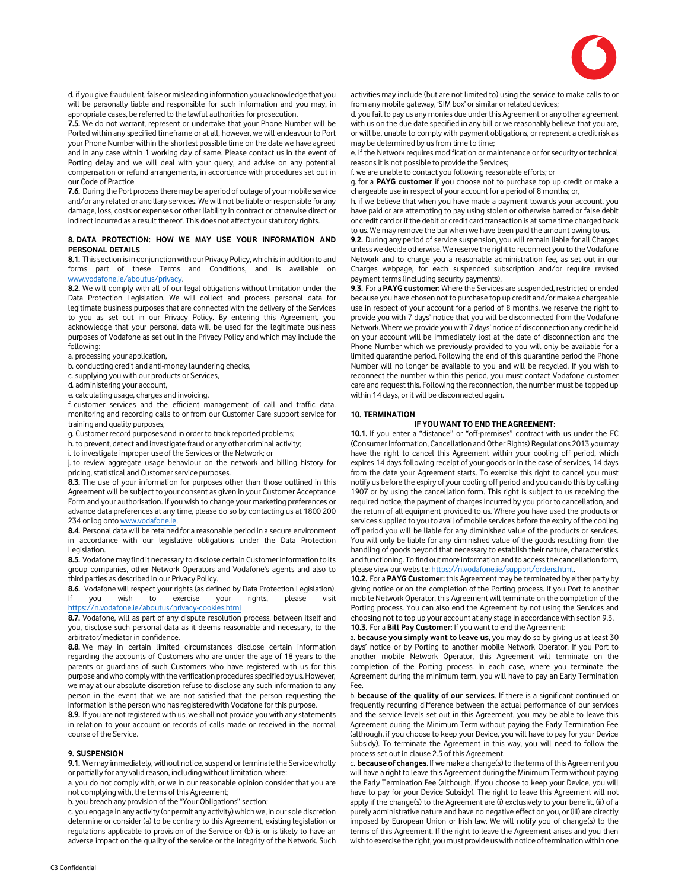

d. if you give fraudulent, false or misleading information you acknowledge that you will be personally liable and responsible for such information and you may, in appropriate cases, be referred to the lawful authorities for prosecution.

7.5. We do not warrant, represent or undertake that your Phone Number will be Ported within any specified timeframe or at all, however, we will endeavour to Port your Phone Number within the shortest possible time on the date we have agreed and in any case within 1 working day of same. Please contact us in the event of Porting delay and we will deal with your query, and advise on any potential compensation or refund arrangements, in accordance with procedures set out in our Code of Practice

7.6. During the Port process there may be a period of outage of your mobile service and/or any related or ancillary services. We will not be liable or responsible for any damage, loss, costs or expenses or other liability in contract or otherwise direct or indirect incurred as a result thereof. This does not affect your statutory rights.

# 8. DATA PROTECTION: HOW WE MAY USE YOUR INFORMATION AND PERSONAL DETAILS

8.1. This section is in conjunction with our Privacy Policy, which is in addition to and forms part of these Terms and Conditions, and is available on www.vodafone.ie/aboutus/privacy.

8.2. We will comply with all of our legal obligations without limitation under the Data Protection Legislation. We will collect and process personal data for legitimate business purposes that are connected with the delivery of the Services to you as set out in our Privacy Policy. By entering this Agreement, you acknowledge that your personal data will be used for the legitimate business purposes of Vodafone as set out in the Privacy Policy and which may include the following:

a. processing your application,

b. conducting credit and anti-money laundering checks,

c. supplying you with our products or Services,

d. administering your account,

e. calculating usage, charges and invoicing, f. customer services and the efficient management of call and traffic data. monitoring and recording calls to or from our Customer Care support service for training and quality purposes,

g. Customer record purposes and in order to track reported problems;

h. to prevent, detect and investigate fraud or any other criminal activity;

i. to investigate improper use of the Services or the Network; or

j. to review aggregate usage behaviour on the network and billing history for pricing, statistical and Customer service purposes.

8.3. The use of your information for purposes other than those outlined in this Agreement will be subject to your consent as given in your Customer Acceptance Form and your authorisation. If you wish to change your marketing preferences or advance data preferences at any time, please do so by contacting us at 1800 200 234 or log onto www.vodafone.io

8.4. Personal data will be retained for a reasonable period in a secure environment in accordance with our legislative obligations under the Data Protection Legislation.

8.5. Vodafone may find it necessary to disclose certain Customer information to its group companies, other Network Operators and Vodafone's agents and also to third parties as described in our Privacy Policy.

8.6. Vodafone will respect your rights (as defined by Data Protection Legislation). If you wish to exercise your rights, please https://n.vodafone.ie/aboutus/privacy-cookies.html

8.7. Vodafone, will as part of any dispute resolution process, between itself and you, disclose such personal data as it deems reasonable and necessary, to the arbitrator/mediator in confidence.

8.8. We may in certain limited circumstances disclose certain information regarding the accounts of Customers who are under the age of 18 years to the parents or guardians of such Customers who have registered with us for this purpose and who comply with the verification procedures specified by us. However, we may at our absolute discretion refuse to disclose any such information to any person in the event that we are not satisfied that the person requesting the information is the person who has registered with Vodafone for this purpose.

8.9. If you are not registered with us, we shall not provide you with any statements in relation to your account or records of calls made or received in the normal course of the Service.

# 9. SUSPENSION

9.1. We may immediately, without notice, suspend or terminate the Service wholly or partially for any valid reason, including without limitation, where:

a. you do not comply with, or we in our reasonable opinion consider that you are not complying with, the terms of this Agreement;

b. you breach any provision of the "Your Obligations" section;

c. you engage in any activity (or permit any activity) which we, in our sole discretion determine or consider (a) to be contrary to this Agreement, existing legislation or regulations applicable to provision of the Service or (b) is or is likely to have an adverse impact on the quality of the service or the integrity of the Network. Such activities may include (but are not limited to) using the service to make calls to or from any mobile gateway, 'SIM box' or similar or related devices;

d. you fail to pay us any monies due under this Agreement or any other agreement with us on the due date specified in any bill or we reasonably believe that you are, or will be, unable to comply with payment obligations, or represent a credit risk as may be determined by us from time to time;

e. if the Network requires modification or maintenance or for security or technical reasons it is not possible to provide the Services;

f. we are unable to contact you following reasonable efforts; or

g. for a PAYG customer if you choose not to purchase top up credit or make a chargeable use in respect of your account for a period of 8 months; or,

h. if we believe that when you have made a payment towards your account, you have paid or are attempting to pay using stolen or otherwise barred or false debit or credit card or if the debit or credit card transaction is at some time charged back to us. We may remove the bar when we have been paid the amount owing to us.

9.2. During any period of service suspension, you will remain liable for all Charges unless we decide otherwise. We reserve the right to reconnect you to the Vodafone Network and to charge you a reasonable administration fee, as set out in our Charges webpage, for each suspended subscription and/or require revised payment terms (including security payments).

9.3. For a PAYG customer: Where the Services are suspended, restricted or ended because you have chosen not to purchase top up credit and/or make a chargeable use in respect of your account for a period of 8 months, we reserve the right to provide you with 7 days' notice that you will be disconnected from the Vodafone Network. Where we provide you with 7 days' notice of disconnection any credit held on your account will be immediately lost at the date of disconnection and the Phone Number which we previously provided to you will only be available for a limited quarantine period. Following the end of this quarantine period the Phone Number will no longer be available to you and will be recycled. If you wish to reconnect the number within this period, you must contact Vodafone customer care and request this. Following the reconnection, the number must be topped up within 14 days, or it will be disconnected again.

#### 10. TERMINATION

#### IF YOU WANT TO END THE AGREEMENT:

10.1. If you enter a "distance" or "off-premises" contract with us under the EC (Consumer Information, Cancellation and Other Rights) Regulations 2013 you may have the right to cancel this Agreement within your cooling off period, which expires 14 days following receipt of your goods or in the case of services, 14 days from the date your Agreement starts. To exercise this right to cancel you must notify us before the expiry of your cooling off period and you can do this by calling 1907 or by using the cancellation form. This right is subject to us receiving the required notice, the payment of charges incurred by you prior to cancellation, and the return of all equipment provided to us. Where you have used the products or services supplied to you to avail of mobile services before the expiry of the cooling off period you will be liable for any diminished value of the products or services. You will only be liable for any diminished value of the goods resulting from the handling of goods beyond that necessary to establish their nature, characteristics and functioning. To find out more information and to access the cancellation form, please view our website: https://n.vodafone.ie/support/orders.html.

10.2. For a PAYG Customer: this Agreement may be terminated by either party by giving notice or on the completion of the Porting process. If you Port to another mobile Network Operator, this Agreement will terminate on the completion of the Porting process. You can also end the Agreement by not using the Services and choosing not to top up your account at any stage in accordance with section 9.3. 10.3. For a Bill Pay Customer: If you want to end the Agreement:

a. because you simply want to leave us, you may do so by giving us at least 30 days' notice or by Porting to another mobile Network Operator. If you Port to another mobile Network Operator, this Agreement will terminate on the completion of the Porting process. In each case, where you terminate the Agreement during the minimum term, you will have to pay an Early Termination Fee.

b. because of the quality of our services. If there is a significant continued or frequently recurring difference between the actual performance of our services and the service levels set out in this Agreement, you may be able to leave this Agreement during the Minimum Term without paying the Early Termination Fee (although, if you choose to keep your Device, you will have to pay for your Device Subsidy). To terminate the Agreement in this way, you will need to follow the process set out in clause 2.5 of this Agreement.

c. because of changes. If we make a change(s) to the terms of this Agreement you will have a right to leave this Agreement during the Minimum Term without paying the Early Termination Fee (although, if you choose to keep your Device, you will have to pay for your Device Subsidy). The right to leave this Agreement will not apply if the change(s) to the Agreement are (i) exclusively to your benefit, (ii) of a purely administrative nature and have no negative effect on you, or (iii) are directly imposed by European Union or Irish law. We will notify you of change(s) to the terms of this Agreement. If the right to leave the Agreement arises and you then wish to exercise the right, you must provide us with notice of termination within one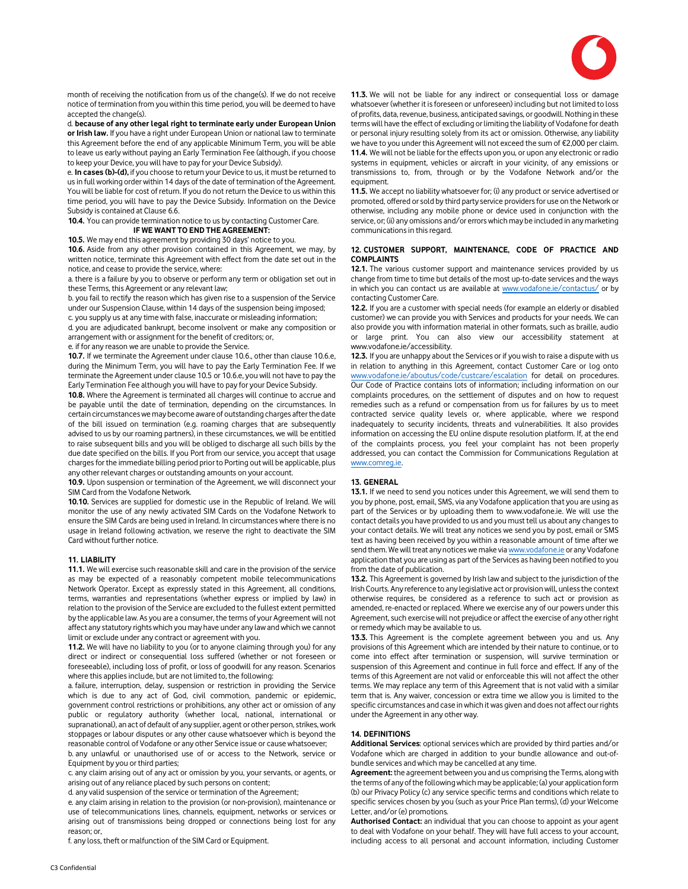

month of receiving the notification from us of the change(s). If we do not receive notice of termination from you within this time period, you will be deemed to have accepted the change(s).

d. because of any other legal right to terminate early under European Union or Irish law. If you have a right under European Union or national law to terminate this Agreement before the end of any applicable Minimum Term, you will be able to leave us early without paying an Early Termination Fee (although, if you choose to keep your Device, you will have to pay for your Device Subsidy).

e. In cases (b)-(d), if you choose to return your Device to us, it must be returned to us in full working order within 14 days of the date of termination of the Agreement. You will be liable for cost of return. If you do not return the Device to us within this time period, you will have to pay the Device Subsidy. Information on the Device Subsidy is contained at Clause 6.6.

10.4. You can provide termination notice to us by contacting Customer Care. IF WE WANT TO END THE AGREEMENT:

10.5. We may end this agreement by providing 30 days' notice to you.

10.6. Aside from any other provision contained in this Agreement, we may, by written notice, terminate this Agreement with effect from the date set out in the notice, and cease to provide the service, where:

a. there is a failure by you to observe or perform any term or obligation set out in these Terms, this Agreement or any relevant law;

b. you fail to rectify the reason which has given rise to a suspension of the Service under our Suspension Clause, within 14 days of the suspension being imposed; c. you supply us at any time with false, inaccurate or misleading information;

d. you are adjudicated bankrupt, become insolvent or make any composition or arrangement with or assignment for the benefit of creditors; or,

e. if for any reason we are unable to provide the Service.

10.7. If we terminate the Agreement under clause 10.6., other than clause 10.6.e, during the Minimum Term, you will have to pay the Early Termination Fee. If we terminate the Agreement under clause 10.5 or 10.6.e, you will not have to pay the Early Termination Fee although you will have to pay for your Device Subsidy.

10.8. Where the Agreement is terminated all charges will continue to accrue and be payable until the date of termination, depending on the circumstances. In certain circumstances we may become aware of outstanding charges after the date of the bill issued on termination (e.g. roaming charges that are subsequently advised to us by our roaming partners), in these circumstances, we will be entitled to raise subsequent bills and you will be obliged to discharge all such bills by the due date specified on the bills. If you Port from our service, you accept that usage charges for the immediate billing period prior to Porting out will be applicable, plus any other relevant charges or outstanding amounts on your account.

10.9. Upon suspension or termination of the Agreement, we will disconnect your SIM Card from the Vodafone Network.

10.10. Services are supplied for domestic use in the Republic of Ireland. We will monitor the use of any newly activated SIM Cards on the Vodafone Network to ensure the SIM Cards are being used in Ireland. In circumstances where there is no usage in Ireland following activation, we reserve the right to deactivate the SIM Card without further notice.

#### 11. LIABILITY

11.1. We will exercise such reasonable skill and care in the provision of the service as may be expected of a reasonably competent mobile telecommunications Network Operator. Except as expressly stated in this Agreement, all conditions, terms, warranties and representations (whether express or implied by law) in relation to the provision of the Service are excluded to the fullest extent permitted by the applicable law. As you are a consumer, the terms of your Agreement will not affect any statutory rights which you may have under any law and which we cannot limit or exclude under any contract or agreement with you.

11.2. We will have no liability to you (or to anyone claiming through you) for any direct or indirect or consequential loss suffered (whether or not foreseen or foreseeable), including loss of profit, or loss of goodwill for any reason. Scenarios where this applies include, but are not limited to, the following:

a. failure, interruption, delay, suspension or restriction in providing the Service which is due to any act of God, civil commotion, pandemic or epidemic, government control restrictions or prohibitions, any other act or omission of any public or regulatory authority (whether local, national, international or supranational), an act of default of any supplier, agent or other person, strikes, work stoppages or labour disputes or any other cause whatsoever which is beyond the reasonable control of Vodafone or any other Service issue or cause whatsoever;

b. any unlawful or unauthorised use of or access to the Network, service or Equipment by you or third parties;

c. any claim arising out of any act or omission by you, your servants, or agents, or arising out of any reliance placed by such persons on content;

d. any valid suspension of the service or termination of the Agreement;

e. any claim arising in relation to the provision (or non-provision), maintenance or use of telecommunications lines, channels, equipment, networks or services or arising out of transmissions being dropped or connections being lost for any reason; or,

f. any loss, theft or malfunction of the SIM Card or Equipment.

11.3. We will not be liable for any indirect or consequential loss or damage whatsoever (whether it is foreseen or unforeseen) including but not limited to loss of profits, data, revenue, business, anticipated savings, or goodwill. Nothing in these terms will have the effect of excluding or limiting the liability of Vodafone for death or personal injury resulting solely from its act or omission. Otherwise, any liability we have to you under this Agreement will not exceed the sum of €2,000 per claim. 11.4. We will not be liable for the effects upon you, or upon any electronic or radio systems in equipment, vehicles or aircraft in your vicinity, of any emissions or transmissions to, from, through or by the Vodafone Network and/or the equipment.

11.5. We accept no liability whatsoever for; (i) any product or service advertised or promoted, offered or sold by third party service providers for use on the Network or otherwise, including any mobile phone or device used in conjunction with the service, or; (ii) any omissions and/or errors which may be included in any marketing communications in this regard.

## 12. CUSTOMER SUPPORT, MAINTENANCE, CODE OF PRACTICE AND COMPLAINTS

12.1. The various customer support and maintenance services provided by us change from time to time but details of the most up-to-date services and the ways in which you can contact us are available at www.vodafone.ie/contactus/ or by contacting Customer Care.

12.2. If you are a customer with special needs (for example an elderly or disabled customer) we can provide you with Services and products for your needs. We can also provide you with information material in other formats, such as braille, audio or large print. You can also view our accessibility statement at www.vodafone.ie/accessibility.

12.3. If you are unhappy about the Services or if you wish to raise a dispute with us in relation to anything in this Agreement, contact Customer Care or log onto www.vodafone.ie/aboutus/code/custcare/escalation for detail on procedures. Our Code of Practice contains lots of information; including information on our complaints procedures, on the settlement of disputes and on how to request remedies such as a refund or compensation from us for failures by us to meet contracted service quality levels or, where applicable, where we respond inadequately to security incidents, threats and vulnerabilities. It also provides information on accessing the EU online dispute resolution platform. If, at the end of the complaints process, you feel your complaint has not been properly addressed, you can contact the Commission for Communications Regulation at www.comreg.ie.

## 13. GENERAL

13.1. If we need to send you notices under this Agreement, we will send them to you by phone, post, email, SMS, via any Vodafone application that you are using as part of the Services or by uploading them to www.vodafone.ie. We will use the contact details you have provided to us and you must tell us about any changes to your contact details. We will treat any notices we send you by post, email or SMS text as having been received by you within a reasonable amount of time after we send them. We will treat any notices we make via www.vodafone.ie or any Vodafone application that you are using as part of the Services as having been notified to you from the date of publication.

13.2. This Agreement is governed by Irish law and subject to the jurisdiction of the Irish Courts. Any reference to any legislative act or provision will, unless the context otherwise requires, be considered as a reference to such act or provision as amended, re-enacted or replaced. Where we exercise any of our powers under this Agreement, such exercise will not prejudice or affect the exercise of any other right or remedy which may be available to us.

13.3. This Agreement is the complete agreement between you and us. Any provisions of this Agreement which are intended by their nature to continue, or to come into effect after termination or suspension, will survive termination or suspension of this Agreement and continue in full force and effect. If any of the terms of this Agreement are not valid or enforceable this will not affect the other terms. We may replace any term of this Agreement that is not valid with a similar term that is. Any waiver, concession or extra time we allow you is limited to the specific circumstances and case in which it was given and does not affect our rights under the Agreement in any other way.

# 14. DEFINITIONS

Additional Services: optional services which are provided by third parties and/or Vodafone which are charged in addition to your bundle allowance and out-ofbundle services and which may be cancelled at any time.

Agreement: the agreement between you and us comprising the Terms, along with the terms of any of the following which may be applicable; (a) your application form (b) our Privacy Policy (c) any service specific terms and conditions which relate to specific services chosen by you (such as your Price Plan terms), (d) your Welcome Letter, and/or (e) promotions.

Authorised Contact: an individual that you can choose to appoint as your agent to deal with Vodafone on your behalf. They will have full access to your account, including access to all personal and account information, including Customer